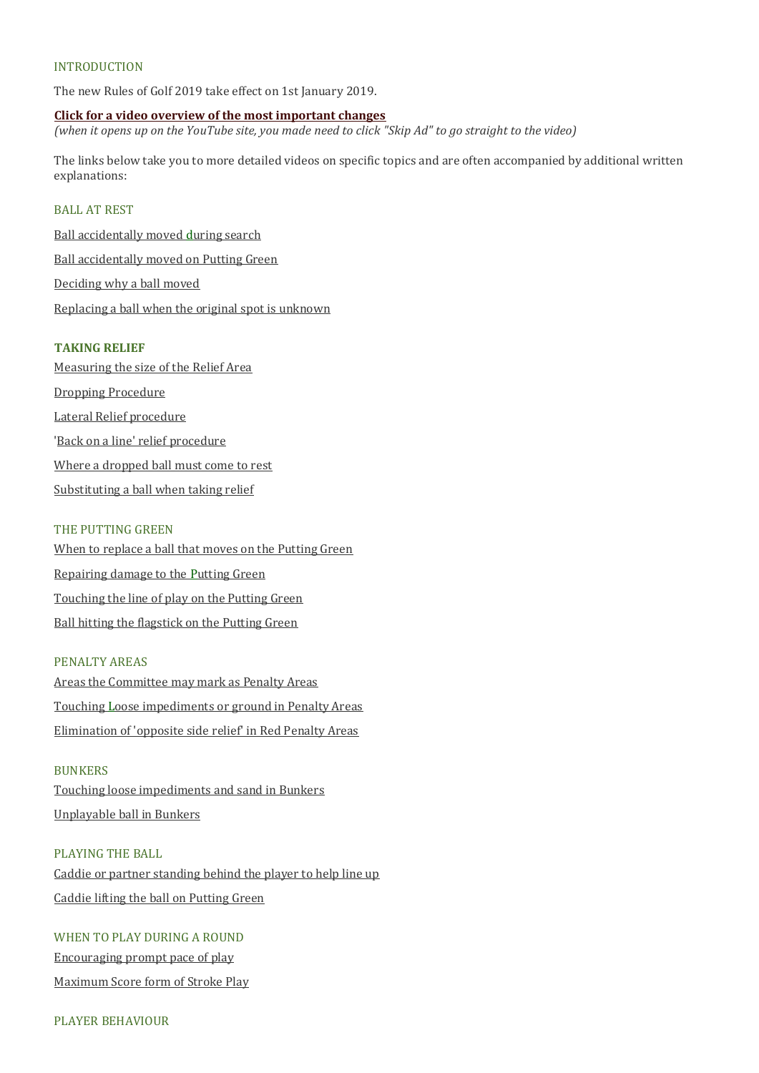## **INTRODUCTION**

The new Rules of Golf 2019 take effect on 1st January 2019.

**[Click for a video overview of the most important changes](https://www.youtube.com/watch?v=chPOtfLUHC0)** *(when it opens up on the YouTube site, you made need to click "Skip Ad" to go straight to the video)*

The links below take you to more detailed videos on specific topics and are often accompanied by additional written explanations:

## BALL AT REST

[Ball accidentally moved during search](http://www.usga.org/content/usga/home-page/rules-hub/rules-modernization/major-changes/ball-moved-during-search.html) [Ball accidentally moved on Putting Green](http://www.usga.org/content/usga/home-page/rules-hub/rules-modernization/major-changes/no-penalty-for-moving-a-ball-on-the-putting-green.html) [Deciding why a ball moved](http://www.usga.org/content/usga/home-page/rules-hub/rules-modernization/major-changes/standard-for-deciding-why-a-ball-moved.html) [Replacing a ball when the original spot is unknown](http://www.usga.org/content/usga/home-page/rules-hub/rules-modernization/major-changes/replacing-ball-when-original-spot-is-not-known.html)

#### **TAKING RELIEF**

[Measuring the size of the Relief Area](http://www.usga.org/content/usga/home-page/rules-hub/rules-modernization/major-changes/measuring-the-size-of-the-relief-area.html) [Dropping Procedure](http://www.usga.org/content/usga/home-page/rules-hub/rules-modernization/major-changes/new-procedure-for-dropping-a-ball.html) [Lateral Relief procedure](http://www.usga.org/content/usga/home-page/rules-hub/rules-modernization/major-changes/procedure-for-taking-lateral-relief.html) ['Back on a line' relief procedure](http://www.usga.org/content/usga/home-page/rules-hub/rules-modernization/major-changes/procedure-for-taking-back-on-a-line-relief.html) [Where a dropped ball must come to rest](http://www.usga.org/content/usga/home-page/rules-hub/rules-modernization/major-changes/where-a-dropped-ball-must-come-to-rest.html) [Substituting a ball when taking relief](http://www.usga.org/content/usga/home-page/rules-hub/rules-modernization/major-changes/substitution-of-a-ball-always-allowed-when-taking-relief.html)

### THE PUTTING GREEN

[When to replace a ball that moves on the Putting Green](http://www.usga.org/content/usga/home-page/rules-hub/rules-modernization/major-changes/when-to-replace-a-ball-that-moves-on-a-putting-green.html) [Repairing damage to the Putting Green](http://www.usga.org/content/usga/home-page/rules-hub/rules-modernization/major-changes/repairing-damage-on-the-putting-green.html) [Touching the line of play on the Putting Green](http://www.usga.org/content/usga/home-page/rules-hub/rules-modernization/major-changes/touching-the-line-of-play-on-a-putting-green.html) [Ball hitting the flagstick on the Putting Green](http://www.usga.org/content/usga/home-page/rules-hub/rules-modernization/major-changes/ball-played-from-the-putting-green-hits-unattended-flagstick-in-hole.html)

### PENALTY AREAS

[Areas the Committee may mark as Penalty Areas](http://www.usga.org/content/usga/home-page/rules-hub/rules-modernization/major-changes/areas-the-committee-may-mark-as-penalty-areas.html) [Touching Loose impediments or ground in Penalty Areas](http://www.usga.org/content/usga/home-page/rules-hub/rules-modernization/major-changes/touching-or-moving-loose-impediments-or-ground.html) [Elimination of 'opposite side relief' in Red Penalty Areas](http://www.usga.org/content/usga/home-page/rules-hub/rules-modernization/major-changes/elimination-of-opposite-side-relief-for-red-pen.html)

#### **BUNKERS**

[Touching loose impediments and sand in Bunkers](http://www.usga.org/content/usga/home-page/rules-hub/rules-modernization/major-changes/moving-or-touching-loose-impediments-or-sand-in-a-bunker.html) [Unplayable ball in Bunkers](http://www.usga.org/content/usga/home-page/rules-hub/rules-modernization/major-changes/unplayable-ball-in-a-bunker.html)

#### PLAYING THE BALL

[Caddie or partner standing behind the player to help line up](http://www.usga.org/content/usga/home-page/rules-hub/rules-modernization/major-changes/caddie-standing-behind-a-player-to-help-line-player-up.html) [Caddie lifting the ball on Putting Green](http://www.usga.org/content/usga/home-page/rules-hub/rules-modernization/major-changes/caddie-lifting-ball-on-the-putting-green.html)

# WHEN TO PLAY DURING A ROUND

[Encouraging prompt pace of play](http://www.usga.org/content/usga/home-page/rules-hub/rules-modernization/major-changes/encouraging-prompt-pace-of-play.html) [Maximum Score form of Stroke Play](http://www.usga.org/content/usga/home-page/rules-hub/rules-modernization/major-changes/maximum-score--form-of-stroke-play.html)

## PLAYER BEHAVIOUR